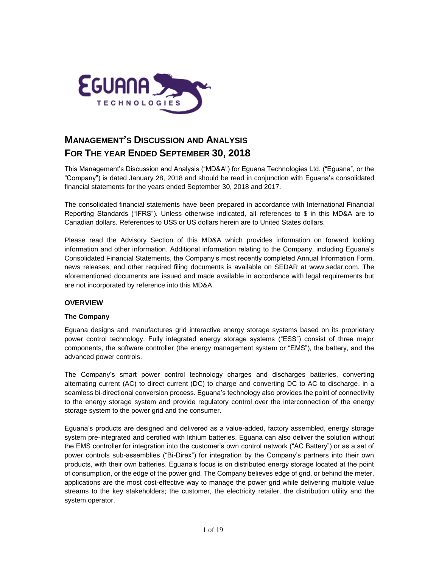

# **MANAGEMENT'S DISCUSSION AND ANALYSIS FOR THE YEAR ENDED SEPTEMBER 30, 2018**

This Management's Discussion and Analysis ("MD&A") for Eguana Technologies Ltd. ("Eguana", or the "Company") is dated January 28, 2018 and should be read in conjunction with Eguana's consolidated financial statements for the years ended September 30, 2018 and 2017.

The consolidated financial statements have been prepared in accordance with International Financial Reporting Standards ("IFRS"). Unless otherwise indicated, all references to \$ in this MD&A are to Canadian dollars. References to US\$ or US dollars herein are to United States dollars.

Please read the Advisory Section of this MD&A which provides information on forward looking information and other information. Additional information relating to the Company, including Eguana's Consolidated Financial Statements, the Company's most recently completed Annual Information Form, news releases, and other required filing documents is available on SEDAR at [www.sedar.com.](http://www.sedar.com/) The aforementioned documents are issued and made available in accordance with legal requirements but are not incorporated by reference into this MD&A.

# **OVERVIEW**

# **The Company**

Eguana designs and manufactures grid interactive energy storage systems based on its proprietary power control technology. Fully integrated energy storage systems ("ESS") consist of three major components, the software controller (the energy management system or "EMS"), the battery, and the advanced power controls.

The Company's smart power control technology charges and discharges batteries, converting alternating current (AC) to direct current (DC) to charge and converting DC to AC to discharge, in a seamless bi-directional conversion process. Eguana's technology also provides the point of connectivity to the energy storage system and provide regulatory control over the interconnection of the energy storage system to the power grid and the consumer.

Eguana's products are designed and delivered as a value-added, factory assembled, energy storage system pre-integrated and certified with lithium batteries. Eguana can also deliver the solution without the EMS controller for integration into the customer's own control network ("AC Battery") or as a set of power controls sub-assemblies ("Bi-Direx") for integration by the Company's partners into their own products, with their own batteries. Eguana's focus is on distributed energy storage located at the point of consumption, or the edge of the power grid. The Company believes edge of grid, or behind the meter, applications are the most cost-effective way to manage the power grid while delivering multiple value streams to the key stakeholders; the customer, the electricity retailer, the distribution utility and the system operator.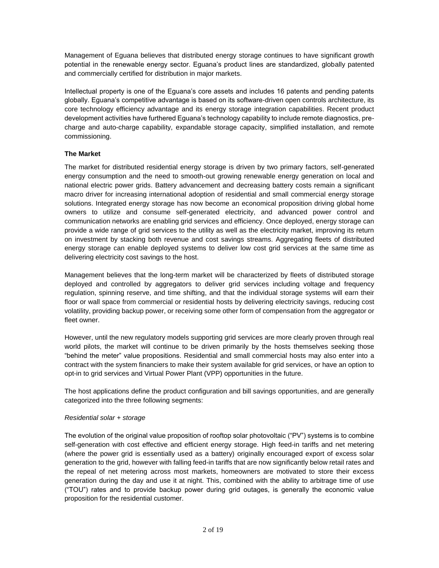Management of Eguana believes that distributed energy storage continues to have significant growth potential in the renewable energy sector. Eguana's product lines are standardized, globally patented and commercially certified for distribution in major markets.

Intellectual property is one of the Eguana's core assets and includes 16 patents and pending patents globally. Eguana's competitive advantage is based on its software-driven open controls architecture, its core technology efficiency advantage and its energy storage integration capabilities. Recent product development activities have furthered Eguana's technology capability to include remote diagnostics, precharge and auto-charge capability, expandable storage capacity, simplified installation, and remote commissioning.

# **The Market**

The market for distributed residential energy storage is driven by two primary factors, self-generated energy consumption and the need to smooth-out growing renewable energy generation on local and national electric power grids. Battery advancement and decreasing battery costs remain a significant macro driver for increasing international adoption of residential and small commercial energy storage solutions. Integrated energy storage has now become an economical proposition driving global home owners to utilize and consume self-generated electricity, and advanced power control and communication networks are enabling grid services and efficiency. Once deployed, energy storage can provide a wide range of grid services to the utility as well as the electricity market, improving its return on investment by stacking both revenue and cost savings streams. Aggregating fleets of distributed energy storage can enable deployed systems to deliver low cost grid services at the same time as delivering electricity cost savings to the host.

Management believes that the long-term market will be characterized by fleets of distributed storage deployed and controlled by aggregators to deliver grid services including voltage and frequency regulation, spinning reserve, and time shifting, and that the individual storage systems will earn their floor or wall space from commercial or residential hosts by delivering electricity savings, reducing cost volatility, providing backup power, or receiving some other form of compensation from the aggregator or fleet owner.

However, until the new regulatory models supporting grid services are more clearly proven through real world pilots, the market will continue to be driven primarily by the hosts themselves seeking those "behind the meter" value propositions. Residential and small commercial hosts may also enter into a contract with the system financiers to make their system available for grid services, or have an option to opt-in to grid services and Virtual Power Plant (VPP) opportunities in the future.

The host applications define the product configuration and bill savings opportunities, and are generally categorized into the three following segments:

### *Residential solar + storage*

The evolution of the original value proposition of rooftop solar photovoltaic ("PV") systems is to combine self-generation with cost effective and efficient energy storage. High feed-in tariffs and net metering (where the power grid is essentially used as a battery) originally encouraged export of excess solar generation to the grid, however with falling feed-in tariffs that are now significantly below retail rates and the repeal of net metering across most markets, homeowners are motivated to store their excess generation during the day and use it at night. This, combined with the ability to arbitrage time of use ("TOU") rates and to provide backup power during grid outages, is generally the economic value proposition for the residential customer.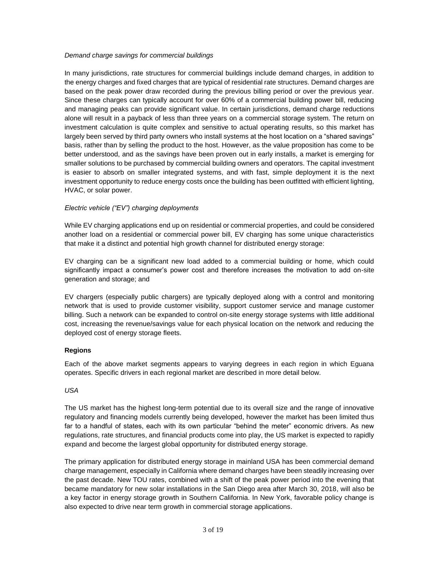### *Demand charge savings for commercial buildings*

In many jurisdictions, rate structures for commercial buildings include demand charges, in addition to the energy charges and fixed charges that are typical of residential rate structures. Demand charges are based on the peak power draw recorded during the previous billing period or over the previous year. Since these charges can typically account for over 60% of a commercial building power bill, reducing and managing peaks can provide significant value. In certain jurisdictions, demand charge reductions alone will result in a payback of less than three years on a commercial storage system. The return on investment calculation is quite complex and sensitive to actual operating results, so this market has largely been served by third party owners who install systems at the host location on a "shared savings" basis, rather than by selling the product to the host. However, as the value proposition has come to be better understood, and as the savings have been proven out in early installs, a market is emerging for smaller solutions to be purchased by commercial building owners and operators. The capital investment is easier to absorb on smaller integrated systems, and with fast, simple deployment it is the next investment opportunity to reduce energy costs once the building has been outfitted with efficient lighting, HVAC, or solar power.

### *Electric vehicle ("EV") charging deployments*

While EV charging applications end up on residential or commercial properties, and could be considered another load on a residential or commercial power bill, EV charging has some unique characteristics that make it a distinct and potential high growth channel for distributed energy storage:

EV charging can be a significant new load added to a commercial building or home, which could significantly impact a consumer's power cost and therefore increases the motivation to add on-site generation and storage; and

EV chargers (especially public chargers) are typically deployed along with a control and monitoring network that is used to provide customer visibility, support customer service and manage customer billing. Such a network can be expanded to control on-site energy storage systems with little additional cost, increasing the revenue/savings value for each physical location on the network and reducing the deployed cost of energy storage fleets.

# **Regions**

Each of the above market segments appears to varying degrees in each region in which Eguana operates. Specific drivers in each regional market are described in more detail below.

### *USA*

The US market has the highest long-term potential due to its overall size and the range of innovative regulatory and financing models currently being developed, however the market has been limited thus far to a handful of states, each with its own particular "behind the meter" economic drivers. As new regulations, rate structures, and financial products come into play, the US market is expected to rapidly expand and become the largest global opportunity for distributed energy storage.

The primary application for distributed energy storage in mainland USA has been commercial demand charge management, especially in California where demand charges have been steadily increasing over the past decade. New TOU rates, combined with a shift of the peak power period into the evening that became mandatory for new solar installations in the San Diego area after March 30, 2018, will also be a key factor in energy storage growth in Southern California. In New York, favorable policy change is also expected to drive near term growth in commercial storage applications.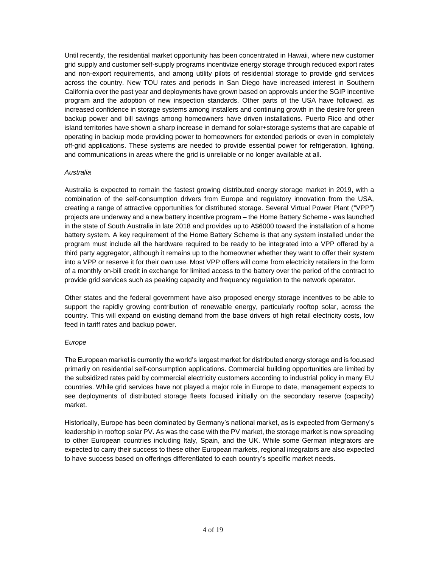Until recently, the residential market opportunity has been concentrated in Hawaii, where new customer grid supply and customer self-supply programs incentivize energy storage through reduced export rates and non-export requirements, and among utility pilots of residential storage to provide grid services across the country. New TOU rates and periods in San Diego have increased interest in Southern California over the past year and deployments have grown based on approvals under the SGIP incentive program and the adoption of new inspection standards. Other parts of the USA have followed, as increased confidence in storage systems among installers and continuing growth in the desire for green backup power and bill savings among homeowners have driven installations. Puerto Rico and other island territories have shown a sharp increase in demand for solar+storage systems that are capable of operating in backup mode providing power to homeowners for extended periods or even in completely off-grid applications. These systems are needed to provide essential power for refrigeration, lighting, and communications in areas where the grid is unreliable or no longer available at all.

### *Australia*

Australia is expected to remain the fastest growing distributed energy storage market in 2019, with a combination of the self-consumption drivers from Europe and regulatory innovation from the USA, creating a range of attractive opportunities for distributed storage. Several Virtual Power Plant ("VPP") projects are underway and a new battery incentive program – the Home Battery Scheme - was launched in the state of South Australia in late 2018 and provides up to A\$6000 toward the installation of a home battery system. A key requirement of the Home Battery Scheme is that any system installed under the program must include all the hardware required to be ready to be integrated into a VPP offered by a third party aggregator, although it remains up to the homeowner whether they want to offer their system into a VPP or reserve it for their own use. Most VPP offers will come from electricity retailers in the form of a monthly on-bill credit in exchange for limited access to the battery over the period of the contract to provide grid services such as peaking capacity and frequency regulation to the network operator.

Other states and the federal government have also proposed energy storage incentives to be able to support the rapidly growing contribution of renewable energy, particularly rooftop solar, across the country. This will expand on existing demand from the base drivers of high retail electricity costs, low feed in tariff rates and backup power.

# *Europe*

The European market is currently the world's largest market for distributed energy storage and is focused primarily on residential self-consumption applications. Commercial building opportunities are limited by the subsidized rates paid by commercial electricity customers according to industrial policy in many EU countries. While grid services have not played a major role in Europe to date, management expects to see deployments of distributed storage fleets focused initially on the secondary reserve (capacity) market.

Historically, Europe has been dominated by Germany's national market, as is expected from Germany's leadership in rooftop solar PV. As was the case with the PV market, the storage market is now spreading to other European countries including Italy, Spain, and the UK. While some German integrators are expected to carry their success to these other European markets, regional integrators are also expected to have success based on offerings differentiated to each country's specific market needs.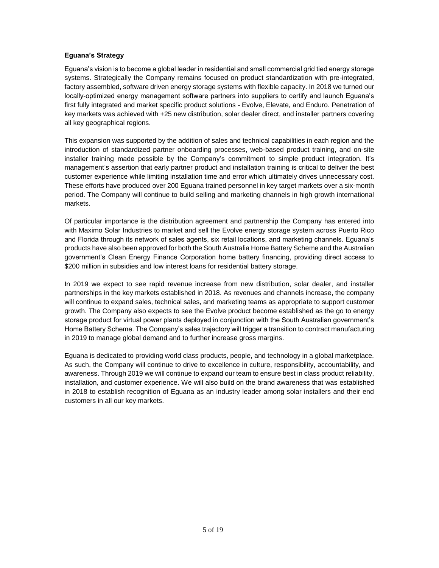### **Eguana's Strategy**

Eguana's vision is to become a global leader in residential and small commercial grid tied energy storage systems. Strategically the Company remains focused on product standardization with pre-integrated, factory assembled, software driven energy storage systems with flexible capacity. In 2018 we turned our locally-optimized energy management software partners into suppliers to certify and launch Eguana's first fully integrated and market specific product solutions - Evolve, Elevate, and Enduro. Penetration of key markets was achieved with +25 new distribution, solar dealer direct, and installer partners covering all key geographical regions.

This expansion was supported by the addition of sales and technical capabilities in each region and the introduction of standardized partner onboarding processes, web-based product training, and on-site installer training made possible by the Company's commitment to simple product integration. It's management's assertion that early partner product and installation training is critical to deliver the best customer experience while limiting installation time and error which ultimately drives unnecessary cost. These efforts have produced over 200 Eguana trained personnel in key target markets over a six-month period. The Company will continue to build selling and marketing channels in high growth international markets.

Of particular importance is the distribution agreement and partnership the Company has entered into with Maximo Solar Industries to market and sell the Evolve energy storage system across Puerto Rico and Florida through its network of sales agents, six retail locations, and marketing channels. Eguana's products have also been approved for both the South Australia Home Battery Scheme and the Australian government's Clean Energy Finance Corporation home battery financing, providing direct access to \$200 million in subsidies and low interest loans for residential battery storage.

In 2019 we expect to see rapid revenue increase from new distribution, solar dealer, and installer partnerships in the key markets established in 2018. As revenues and channels increase, the company will continue to expand sales, technical sales, and marketing teams as appropriate to support customer growth. The Company also expects to see the Evolve product become established as the go to energy storage product for virtual power plants deployed in conjunction with the South Australian government's Home Battery Scheme. The Company's sales trajectory will trigger a transition to contract manufacturing in 2019 to manage global demand and to further increase gross margins.

Eguana is dedicated to providing world class products, people, and technology in a global marketplace. As such, the Company will continue to drive to excellence in culture, responsibility, accountability, and awareness. Through 2019 we will continue to expand our team to ensure best in class product reliability, installation, and customer experience. We will also build on the brand awareness that was established in 2018 to establish recognition of Eguana as an industry leader among solar installers and their end customers in all our key markets.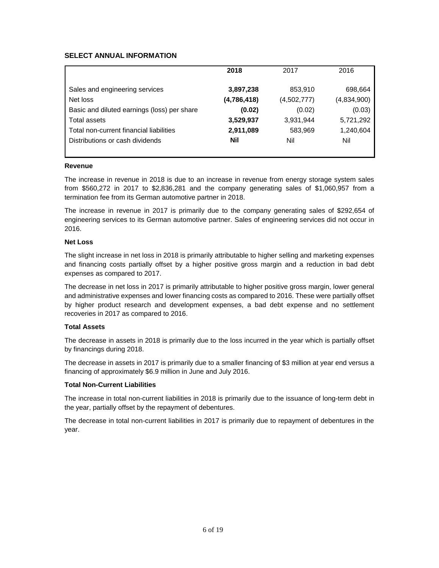# **SELECT ANNUAL INFORMATION**

|                                             | 2018        | 2017        | 2016        |
|---------------------------------------------|-------------|-------------|-------------|
|                                             |             |             |             |
| Sales and engineering services              | 3,897,238   | 853,910     | 698,664     |
| Net loss                                    | (4,786,418) | (4,502,777) | (4,834,900) |
| Basic and diluted earnings (loss) per share | (0.02)      | (0.02)      | (0.03)      |
| Total assets                                | 3,529,937   | 3,931,944   | 5,721,292   |
| Total non-current financial liabilities     | 2,911,089   | 583,969     | 1,240,604   |
| Distributions or cash dividends             | Nil         | Nil         | Nil         |
|                                             |             |             |             |

#### **Revenue**

The increase in revenue in 2018 is due to an increase in revenue from energy storage system sales from \$560,272 in 2017 to \$2,836,281 and the company generating sales of \$1,060,957 from a termination fee from its German automotive partner in 2018.

The increase in revenue in 2017 is primarily due to the company generating sales of \$292,654 of engineering services to its German automotive partner. Sales of engineering services did not occur in 2016.

### **Net Loss**

The slight increase in net loss in 2018 is primarily attributable to higher selling and marketing expenses and financing costs partially offset by a higher positive gross margin and a reduction in bad debt expenses as compared to 2017.

The decrease in net loss in 2017 is primarily attributable to higher positive gross margin, lower general and administrative expenses and lower financing costs as compared to 2016. These were partially offset by higher product research and development expenses, a bad debt expense and no settlement recoveries in 2017 as compared to 2016.

### **Total Assets**

The decrease in assets in 2018 is primarily due to the loss incurred in the year which is partially offset by financings during 2018.

The decrease in assets in 2017 is primarily due to a smaller financing of \$3 million at year end versus a financing of approximately \$6.9 million in June and July 2016.

### **Total Non-Current Liabilities**

The increase in total non-current liabilities in 2018 is primarily due to the issuance of long-term debt in the year, partially offset by the repayment of debentures.

The decrease in total non-current liabilities in 2017 is primarily due to repayment of debentures in the year.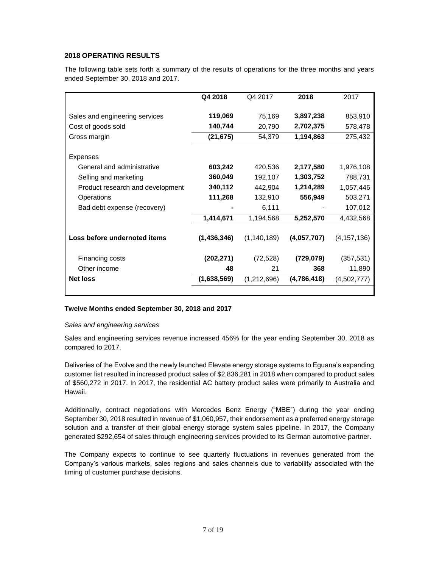# **2018 OPERATING RESULTS**

The following table sets forth a summary of the results of operations for the three months and years ended September 30, 2018 and 2017.

|                                  | Q4 2018     | Q4 2017       | 2018        | 2017          |
|----------------------------------|-------------|---------------|-------------|---------------|
| Sales and engineering services   | 119,069     | 75,169        | 3,897,238   | 853,910       |
| Cost of goods sold               | 140,744     | 20,790        | 2,702,375   | 578,478       |
| Gross margin                     | (21, 675)   | 54,379        | 1,194,863   | 275,432       |
| <b>Expenses</b>                  |             |               |             |               |
| General and administrative       | 603,242     | 420,536       | 2,177,580   | 1,976,108     |
| Selling and marketing            | 360,049     | 192,107       | 1,303,752   | 788,731       |
| Product research and development | 340,112     | 442,904       | 1,214,289   | 1,057,446     |
| Operations                       | 111,268     | 132,910       | 556,949     | 503,271       |
| Bad debt expense (recovery)      |             | 6,111         |             | 107,012       |
|                                  | 1,414,671   | 1,194,568     | 5,252,570   | 4,432,568     |
| Loss before undernoted items     | (1,436,346) | (1, 140, 189) | (4,057,707) | (4, 157, 136) |
| Financing costs                  | (202, 271)  | (72, 528)     | (729, 079)  | (357, 531)    |
| Other income                     | 48          | 21            | 368         | 11,890        |
| <b>Net loss</b>                  | (1,638,569) | (1,212,696)   | (4,786,418) | (4,502,777)   |
|                                  |             |               |             |               |

### **Twelve Months ended September 30, 2018 and 2017**

### *Sales and engineering services*

Sales and engineering services revenue increased 456% for the year ending September 30, 2018 as compared to 2017.

Deliveries of the Evolve and the newly launched Elevate energy storage systems to Eguana's expanding customer list resulted in increased product sales of \$2,836,281 in 2018 when compared to product sales of \$560,272 in 2017. In 2017, the residential AC battery product sales were primarily to Australia and Hawaii.

Additionally, contract negotiations with Mercedes Benz Energy ("MBE") during the year ending September 30, 2018 resulted in revenue of \$1,060,957, their endorsement as a preferred energy storage solution and a transfer of their global energy storage system sales pipeline. In 2017, the Company generated \$292,654 of sales through engineering services provided to its German automotive partner.

The Company expects to continue to see quarterly fluctuations in revenues generated from the Company's various markets, sales regions and sales channels due to variability associated with the timing of customer purchase decisions.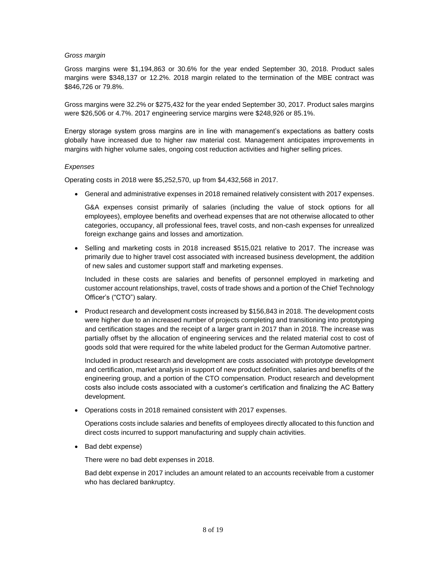#### *Gross margin*

Gross margins were \$1,194,863 or 30.6% for the year ended September 30, 2018. Product sales margins were \$348,137 or 12.2%. 2018 margin related to the termination of the MBE contract was \$846,726 or 79.8%.

Gross margins were 32.2% or \$275,432 for the year ended September 30, 2017. Product sales margins were \$26,506 or 4.7%. 2017 engineering service margins were \$248,926 or 85.1%.

Energy storage system gross margins are in line with management's expectations as battery costs globally have increased due to higher raw material cost. Management anticipates improvements in margins with higher volume sales, ongoing cost reduction activities and higher selling prices.

#### *Expenses*

Operating costs in 2018 were \$5,252,570, up from \$4,432,568 in 2017.

General and administrative expenses in 2018 remained relatively consistent with 2017 expenses.

G&A expenses consist primarily of salaries (including the value of stock options for all employees), employee benefits and overhead expenses that are not otherwise allocated to other categories, occupancy, all professional fees, travel costs, and non-cash expenses for unrealized foreign exchange gains and losses and amortization.

• Selling and marketing costs in 2018 increased \$515,021 relative to 2017. The increase was primarily due to higher travel cost associated with increased business development, the addition of new sales and customer support staff and marketing expenses.

Included in these costs are salaries and benefits of personnel employed in marketing and customer account relationships, travel, costs of trade shows and a portion of the Chief Technology Officer's ("CTO") salary.

 Product research and development costs increased by \$156,843 in 2018. The development costs were higher due to an increased number of projects completing and transitioning into prototyping and certification stages and the receipt of a larger grant in 2017 than in 2018. The increase was partially offset by the allocation of engineering services and the related material cost to cost of goods sold that were required for the white labeled product for the German Automotive partner.

Included in product research and development are costs associated with prototype development and certification, market analysis in support of new product definition, salaries and benefits of the engineering group, and a portion of the CTO compensation. Product research and development costs also include costs associated with a customer's certification and finalizing the AC Battery development.

Operations costs in 2018 remained consistent with 2017 expenses.

Operations costs include salaries and benefits of employees directly allocated to this function and direct costs incurred to support manufacturing and supply chain activities.

• Bad debt expense)

There were no bad debt expenses in 2018.

Bad debt expense in 2017 includes an amount related to an accounts receivable from a customer who has declared bankruptcy.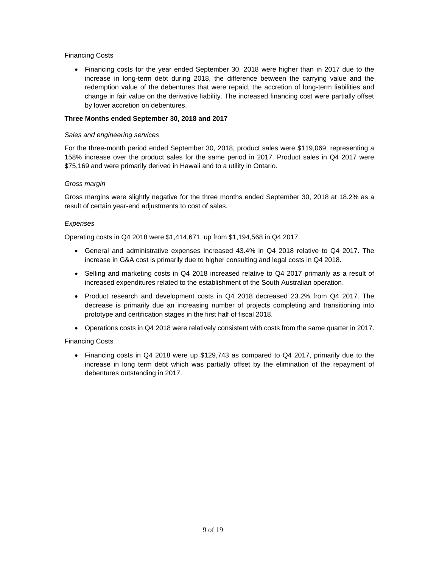### Financing Costs

• Financing costs for the year ended September 30, 2018 were higher than in 2017 due to the increase in long-term debt during 2018, the difference between the carrying value and the redemption value of the debentures that were repaid, the accretion of long-term liabilities and change in fair value on the derivative liability. The increased financing cost were partially offset by lower accretion on debentures.

### **Three Months ended September 30, 2018 and 2017**

#### *Sales and engineering services*

For the three-month period ended September 30, 2018, product sales were \$119,069, representing a 158% increase over the product sales for the same period in 2017. Product sales in Q4 2017 were \$75,169 and were primarily derived in Hawaii and to a utility in Ontario.

### *Gross margin*

Gross margins were slightly negative for the three months ended September 30, 2018 at 18.2% as a result of certain year-end adjustments to cost of sales.

### *Expenses*

Operating costs in Q4 2018 were \$1,414,671, up from \$1,194,568 in Q4 2017.

- General and administrative expenses increased 43.4% in Q4 2018 relative to Q4 2017. The increase in G&A cost is primarily due to higher consulting and legal costs in Q4 2018.
- Selling and marketing costs in Q4 2018 increased relative to Q4 2017 primarily as a result of increased expenditures related to the establishment of the South Australian operation.
- Product research and development costs in Q4 2018 decreased 23.2% from Q4 2017. The decrease is primarily due an increasing number of projects completing and transitioning into prototype and certification stages in the first half of fiscal 2018.
- Operations costs in Q4 2018 were relatively consistent with costs from the same quarter in 2017.

### Financing Costs

• Financing costs in Q4 2018 were up \$129,743 as compared to Q4 2017, primarily due to the increase in long term debt which was partially offset by the elimination of the repayment of debentures outstanding in 2017.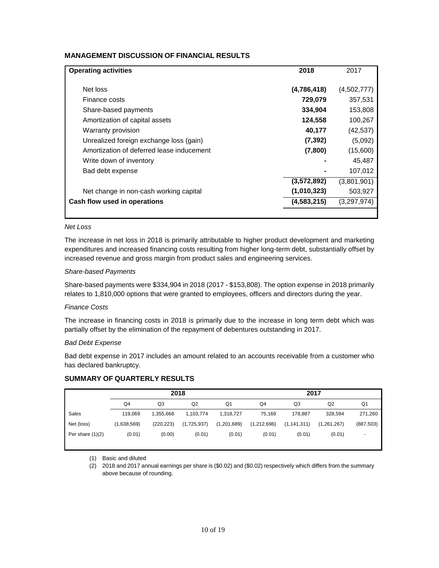### **MANAGEMENT DISCUSSION OF FINANCIAL RESULTS**

| <b>Operating activities</b>               | 2018        | 2017        |
|-------------------------------------------|-------------|-------------|
| Net loss                                  | (4,786,418) | (4,502,777) |
| Finance costs                             | 729,079     | 357,531     |
| Share-based payments                      | 334,904     | 153,808     |
| Amortization of capital assets            | 124,558     | 100,267     |
| Warranty provision                        | 40,177      | (42, 537)   |
| Unrealized foreign exchange loss (gain)   | (7, 392)    | (5,092)     |
| Amortization of deferred lease inducement | (7,800)     | (15,600)    |
| Write down of inventory                   |             | 45,487      |
| Bad debt expense                          |             | 107,012     |
|                                           | (3,572,892) | (3,801,901) |
| Net change in non-cash working capital    | (1,010,323) | 503,927     |
| Cash flow used in operations              | (4,583,215) | (3,297,974) |
|                                           |             |             |

#### *Net Loss*

The increase in net loss in 2018 is primarily attributable to higher product development and marketing expenditures and increased financing costs resulting from higher long-term debt, substantially offset by increased revenue and gross margin from product sales and engineering services.

#### *Share-based Payments*

Share-based payments were \$334,904 in 2018 (2017 - \$153,808). The option expense in 2018 primarily relates to 1,810,000 options that were granted to employees, officers and directors during the year.

### *Finance Costs*

The increase in financing costs in 2018 is primarily due to the increase in long term debt which was partially offset by the elimination of the repayment of debentures outstanding in 2017.

#### *Bad Debt Expense*

Bad debt expense in 2017 includes an amount related to an accounts receivable from a customer who has declared bankruptcy.

### **SUMMARY OF QUARTERLY RESULTS**

|                    | 2018        |            |             | 2017           |                |               |             |            |
|--------------------|-------------|------------|-------------|----------------|----------------|---------------|-------------|------------|
|                    | Q4          | Q3         | Q2          | Q <sub>1</sub> | Q <sub>4</sub> | Q3            | Q2          | Q1         |
| Sales              | 119.069     | 1.355.668  | 1,103,774   | 1,318,727      | 75.169         | 178.887       | 328.594     | 271,260    |
| Net (loss)         | (1,638,569) | (220, 223) | (1,725,937) | (1,201,689)    | (1,212,696)    | (1, 141, 311) | (1,261,267) | (887, 503) |
| Per share $(1)(2)$ | (0.01)      | (0.00)     | (0.01)      | (0.01)         | (0.01)         | (0.01)        | (0.01)      |            |
|                    |             |            |             |                |                |               |             |            |

(1) Basic and diluted

(2) 2018 and 2017 annual earnings per share is (\$0.02) and (\$0.02) respectively which differs from the summary above because of rounding.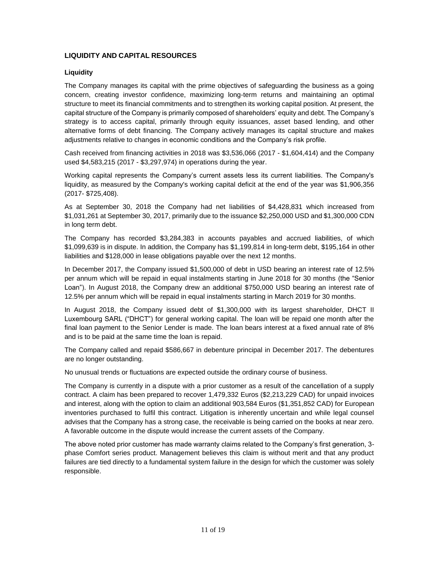# **LIQUIDITY AND CAPITAL RESOURCES**

### **Liquidity**

The Company manages its capital with the prime objectives of safeguarding the business as a going concern, creating investor confidence, maximizing long-term returns and maintaining an optimal structure to meet its financial commitments and to strengthen its working capital position. At present, the capital structure of the Company is primarily composed of shareholders' equity and debt. The Company's strategy is to access capital, primarily through equity issuances, asset based lending, and other alternative forms of debt financing. The Company actively manages its capital structure and makes adjustments relative to changes in economic conditions and the Company's risk profile.

Cash received from financing activities in 2018 was \$3,536,066 (2017 - \$1,604,414) and the Company used \$4,583,215 (2017 - \$3,297,974) in operations during the year.

Working capital represents the Company's current assets less its current liabilities. The Company's liquidity, as measured by the Company's working capital deficit at the end of the year was \$1,906,356 (2017- \$725,408).

As at September 30, 2018 the Company had net liabilities of \$4,428,831 which increased from \$1,031,261 at September 30, 2017, primarily due to the issuance \$2,250,000 USD and \$1,300,000 CDN in long term debt.

The Company has recorded \$3,284,383 in accounts payables and accrued liabilities, of which \$1,099,639 is in dispute. In addition, the Company has \$1,199,814 in long-term debt, \$195,164 in other liabilities and \$128,000 in lease obligations payable over the next 12 months.

In December 2017, the Company issued \$1,500,000 of debt in USD bearing an interest rate of 12.5% per annum which will be repaid in equal instalments starting in June 2018 for 30 months (the "Senior Loan"). In August 2018, the Company drew an additional \$750,000 USD bearing an interest rate of 12.5% per annum which will be repaid in equal instalments starting in March 2019 for 30 months.

In August 2018, the Company issued debt of \$1,300,000 with its largest shareholder, DHCT II Luxembourg SARL ("DHCT") for general working capital. The loan will be repaid one month after the final loan payment to the Senior Lender is made. The loan bears interest at a fixed annual rate of 8% and is to be paid at the same time the loan is repaid.

The Company called and repaid \$586,667 in debenture principal in December 2017. The debentures are no longer outstanding.

No unusual trends or fluctuations are expected outside the ordinary course of business.

The Company is currently in a dispute with a prior customer as a result of the cancellation of a supply contract. A claim has been prepared to recover 1,479,332 Euros (\$2,213,229 CAD) for unpaid invoices and interest, along with the option to claim an additional 903,584 Euros (\$1,351,852 CAD) for European inventories purchased to fulfil this contract. Litigation is inherently uncertain and while legal counsel advises that the Company has a strong case, the receivable is being carried on the books at near zero. A favorable outcome in the dispute would increase the current assets of the Company.

The above noted prior customer has made warranty claims related to the Company's first generation, 3 phase Comfort series product. Management believes this claim is without merit and that any product failures are tied directly to a fundamental system failure in the design for which the customer was solely responsible.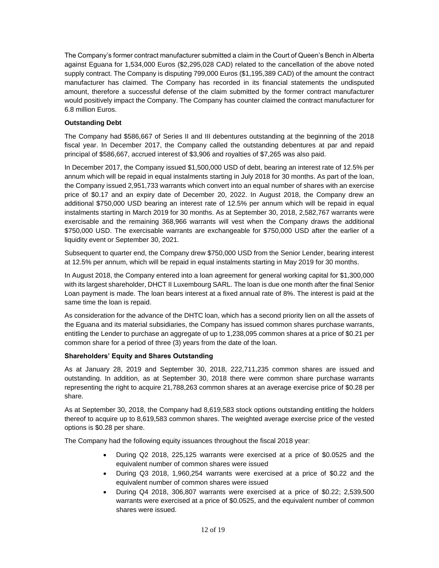The Company's former contract manufacturer submitted a claim in the Court of Queen's Bench in Alberta against Eguana for 1,534,000 Euros (\$2,295,028 CAD) related to the cancellation of the above noted supply contract. The Company is disputing 799,000 Euros (\$1,195,389 CAD) of the amount the contract manufacturer has claimed. The Company has recorded in its financial statements the undisputed amount, therefore a successful defense of the claim submitted by the former contract manufacturer would positively impact the Company. The Company has counter claimed the contract manufacturer for 6.8 million Euros.

### **Outstanding Debt**

The Company had \$586,667 of Series II and III debentures outstanding at the beginning of the 2018 fiscal year. In December 2017, the Company called the outstanding debentures at par and repaid principal of \$586,667, accrued interest of \$3,906 and royalties of \$7,265 was also paid.

In December 2017, the Company issued \$1,500,000 USD of debt, bearing an interest rate of 12.5% per annum which will be repaid in equal instalments starting in July 2018 for 30 months. As part of the loan, the Company issued 2,951,733 warrants which convert into an equal number of shares with an exercise price of \$0.17 and an expiry date of December 20, 2022. In August 2018, the Company drew an additional \$750,000 USD bearing an interest rate of 12.5% per annum which will be repaid in equal instalments starting in March 2019 for 30 months. As at September 30, 2018, 2,582,767 warrants were exercisable and the remaining 368,966 warrants will vest when the Company draws the additional \$750,000 USD. The exercisable warrants are exchangeable for \$750,000 USD after the earlier of a liquidity event or September 30, 2021.

Subsequent to quarter end, the Company drew \$750,000 USD from the Senior Lender, bearing interest at 12.5% per annum, which will be repaid in equal instalments starting in May 2019 for 30 months.

In August 2018, the Company entered into a loan agreement for general working capital for \$1,300,000 with its largest shareholder, DHCT II Luxembourg SARL. The loan is due one month after the final Senior Loan payment is made. The loan bears interest at a fixed annual rate of 8%. The interest is paid at the same time the loan is repaid.

As consideration for the advance of the DHTC loan, which has a second priority lien on all the assets of the Eguana and its material subsidiaries, the Company has issued common shares purchase warrants, entitling the Lender to purchase an aggregate of up to 1,238,095 common shares at a price of \$0.21 per common share for a period of three (3) years from the date of the loan.

### **Shareholders' Equity and Shares Outstanding**

As at January 28, 2019 and September 30, 2018, 222,711,235 common shares are issued and outstanding. In addition, as at September 30, 2018 there were common share purchase warrants representing the right to acquire 21,788,263 common shares at an average exercise price of \$0.28 per share.

As at September 30, 2018, the Company had 8,619,583 stock options outstanding entitling the holders thereof to acquire up to 8,619,583 common shares. The weighted average exercise price of the vested options is \$0.28 per share.

The Company had the following equity issuances throughout the fiscal 2018 year:

- During Q2 2018, 225,125 warrants were exercised at a price of \$0.0525 and the equivalent number of common shares were issued
- During Q3 2018, 1,960,254 warrants were exercised at a price of \$0.22 and the equivalent number of common shares were issued
- During Q4 2018, 306,807 warrants were exercised at a price of \$0.22; 2,539,500 warrants were exercised at a price of \$0.0525, and the equivalent number of common shares were issued.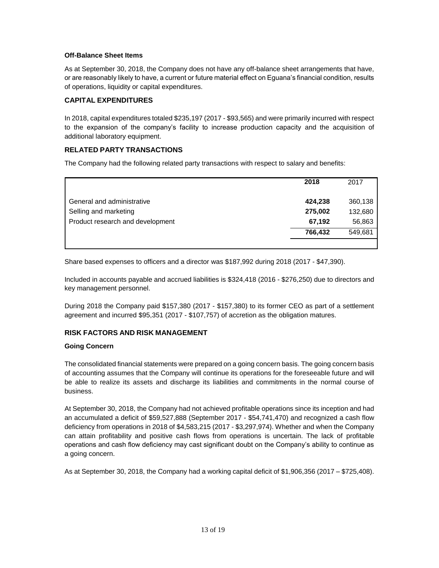### **Off-Balance Sheet Items**

As at September 30, 2018, the Company does not have any off-balance sheet arrangements that have, or are reasonably likely to have, a current or future material effect on Eguana's financial condition, results of operations, liquidity or capital expenditures.

### **CAPITAL EXPENDITURES**

In 2018, capital expenditures totaled \$235,197 (2017 - \$93,565) and were primarily incurred with respect to the expansion of the company's facility to increase production capacity and the acquisition of additional laboratory equipment.

### **RELATED PARTY TRANSACTIONS**

The Company had the following related party transactions with respect to salary and benefits:

|                                  | 2018    | 2017    |
|----------------------------------|---------|---------|
| General and administrative       | 424,238 | 360,138 |
| Selling and marketing            | 275,002 | 132,680 |
| Product research and development | 67,192  | 56,863  |
|                                  | 766,432 | 549,681 |
|                                  |         |         |

Share based expenses to officers and a director was \$187,992 during 2018 (2017 - \$47,390).

Included in accounts payable and accrued liabilities is \$324,418 (2016 - \$276,250) due to directors and key management personnel.

During 2018 the Company paid \$157,380 (2017 - \$157,380) to its former CEO as part of a settlement agreement and incurred \$95,351 (2017 - \$107,757) of accretion as the obligation matures.

# **RISK FACTORS AND RISK MANAGEMENT**

### **Going Concern**

The consolidated financial statements were prepared on a going concern basis. The going concern basis of accounting assumes that the Company will continue its operations for the foreseeable future and will be able to realize its assets and discharge its liabilities and commitments in the normal course of business.

At September 30, 2018, the Company had not achieved profitable operations since its inception and had an accumulated a deficit of \$59,527,888 (September 2017 - \$54,741,470) and recognized a cash flow deficiency from operations in 2018 of \$4,583,215 (2017 - \$3,297,974). Whether and when the Company can attain profitability and positive cash flows from operations is uncertain. The lack of profitable operations and cash flow deficiency may cast significant doubt on the Company's ability to continue as a going concern.

As at September 30, 2018, the Company had a working capital deficit of \$1,906,356 (2017 – \$725,408).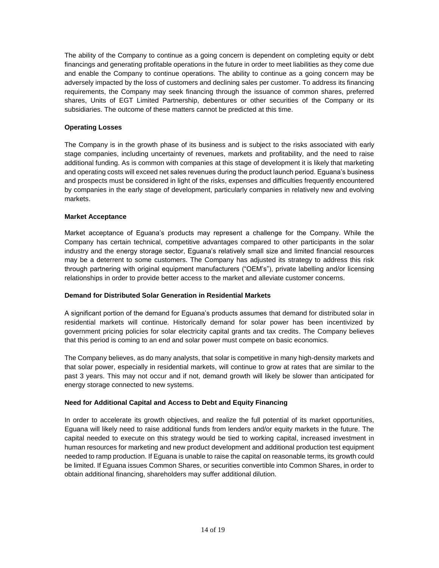The ability of the Company to continue as a going concern is dependent on completing equity or debt financings and generating profitable operations in the future in order to meet liabilities as they come due and enable the Company to continue operations. The ability to continue as a going concern may be adversely impacted by the loss of customers and declining sales per customer. To address its financing requirements, the Company may seek financing through the issuance of common shares, preferred shares, Units of EGT Limited Partnership, debentures or other securities of the Company or its subsidiaries. The outcome of these matters cannot be predicted at this time.

### **Operating Losses**

The Company is in the growth phase of its business and is subject to the risks associated with early stage companies, including uncertainty of revenues, markets and profitability, and the need to raise additional funding. As is common with companies at this stage of development it is likely that marketing and operating costs will exceed net sales revenues during the product launch period. Eguana's business and prospects must be considered in light of the risks, expenses and difficulties frequently encountered by companies in the early stage of development, particularly companies in relatively new and evolving markets.

### **Market Acceptance**

Market acceptance of Eguana's products may represent a challenge for the Company. While the Company has certain technical, competitive advantages compared to other participants in the solar industry and the energy storage sector, Eguana's relatively small size and limited financial resources may be a deterrent to some customers. The Company has adjusted its strategy to address this risk through partnering with original equipment manufacturers ("OEM's"), private labelling and/or licensing relationships in order to provide better access to the market and alleviate customer concerns.

### **Demand for Distributed Solar Generation in Residential Markets**

A significant portion of the demand for Eguana's products assumes that demand for distributed solar in residential markets will continue. Historically demand for solar power has been incentivized by government pricing policies for solar electricity capital grants and tax credits. The Company believes that this period is coming to an end and solar power must compete on basic economics.

The Company believes, as do many analysts, that solar is competitive in many high-density markets and that solar power, especially in residential markets, will continue to grow at rates that are similar to the past 3 years. This may not occur and if not, demand growth will likely be slower than anticipated for energy storage connected to new systems.

# **Need for Additional Capital and Access to Debt and Equity Financing**

In order to accelerate its growth objectives, and realize the full potential of its market opportunities, Eguana will likely need to raise additional funds from lenders and/or equity markets in the future. The capital needed to execute on this strategy would be tied to working capital, increased investment in human resources for marketing and new product development and additional production test equipment needed to ramp production. If Eguana is unable to raise the capital on reasonable terms, its growth could be limited. If Eguana issues Common Shares, or securities convertible into Common Shares, in order to obtain additional financing, shareholders may suffer additional dilution.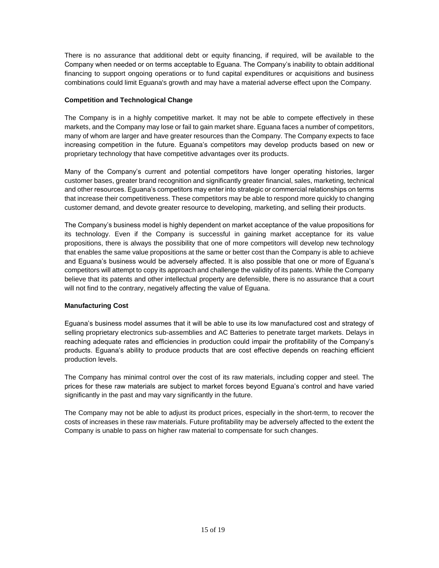There is no assurance that additional debt or equity financing, if required, will be available to the Company when needed or on terms acceptable to Eguana. The Company's inability to obtain additional financing to support ongoing operations or to fund capital expenditures or acquisitions and business combinations could limit Eguana's growth and may have a material adverse effect upon the Company.

### **Competition and Technological Change**

The Company is in a highly competitive market. It may not be able to compete effectively in these markets, and the Company may lose or fail to gain market share. Eguana faces a number of competitors, many of whom are larger and have greater resources than the Company. The Company expects to face increasing competition in the future. Eguana's competitors may develop products based on new or proprietary technology that have competitive advantages over its products.

Many of the Company's current and potential competitors have longer operating histories, larger customer bases, greater brand recognition and significantly greater financial, sales, marketing, technical and other resources. Eguana's competitors may enter into strategic or commercial relationships on terms that increase their competitiveness. These competitors may be able to respond more quickly to changing customer demand, and devote greater resource to developing, marketing, and selling their products.

The Company's business model is highly dependent on market acceptance of the value propositions for its technology. Even if the Company is successful in gaining market acceptance for its value propositions, there is always the possibility that one of more competitors will develop new technology that enables the same value propositions at the same or better cost than the Company is able to achieve and Eguana's business would be adversely affected. It is also possible that one or more of Eguana's competitors will attempt to copy its approach and challenge the validity of its patents. While the Company believe that its patents and other intellectual property are defensible, there is no assurance that a court will not find to the contrary, negatively affecting the value of Eguana.

# **Manufacturing Cost**

Eguana's business model assumes that it will be able to use its low manufactured cost and strategy of selling proprietary electronics sub-assemblies and AC Batteries to penetrate target markets. Delays in reaching adequate rates and efficiencies in production could impair the profitability of the Company's products. Eguana's ability to produce products that are cost effective depends on reaching efficient production levels.

The Company has minimal control over the cost of its raw materials, including copper and steel. The prices for these raw materials are subject to market forces beyond Eguana's control and have varied significantly in the past and may vary significantly in the future.

The Company may not be able to adjust its product prices, especially in the short-term, to recover the costs of increases in these raw materials. Future profitability may be adversely affected to the extent the Company is unable to pass on higher raw material to compensate for such changes.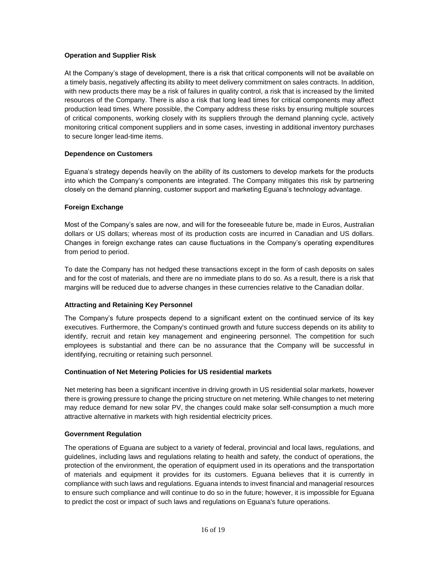### **Operation and Supplier Risk**

At the Company's stage of development, there is a risk that critical components will not be available on a timely basis, negatively affecting its ability to meet delivery commitment on sales contracts. In addition, with new products there may be a risk of failures in quality control, a risk that is increased by the limited resources of the Company. There is also a risk that long lead times for critical components may affect production lead times. Where possible, the Company address these risks by ensuring multiple sources of critical components, working closely with its suppliers through the demand planning cycle, actively monitoring critical component suppliers and in some cases, investing in additional inventory purchases to secure longer lead-time items.

### **Dependence on Customers**

Eguana's strategy depends heavily on the ability of its customers to develop markets for the products into which the Company's components are integrated. The Company mitigates this risk by partnering closely on the demand planning, customer support and marketing Eguana's technology advantage.

# **Foreign Exchange**

Most of the Company's sales are now, and will for the foreseeable future be, made in Euros, Australian dollars or US dollars; whereas most of its production costs are incurred in Canadian and US dollars. Changes in foreign exchange rates can cause fluctuations in the Company's operating expenditures from period to period.

To date the Company has not hedged these transactions except in the form of cash deposits on sales and for the cost of materials, and there are no immediate plans to do so. As a result, there is a risk that margins will be reduced due to adverse changes in these currencies relative to the Canadian dollar.

# **Attracting and Retaining Key Personnel**

The Company's future prospects depend to a significant extent on the continued service of its key executives. Furthermore, the Company's continued growth and future success depends on its ability to identify, recruit and retain key management and engineering personnel. The competition for such employees is substantial and there can be no assurance that the Company will be successful in identifying, recruiting or retaining such personnel.

### **Continuation of Net Metering Policies for US residential markets**

Net metering has been a significant incentive in driving growth in US residential solar markets, however there is growing pressure to change the pricing structure on net metering. While changes to net metering may reduce demand for new solar PV, the changes could make solar self-consumption a much more attractive alternative in markets with high residential electricity prices.

### **Government Regulation**

The operations of Eguana are subject to a variety of federal, provincial and local laws, regulations, and guidelines, including laws and regulations relating to health and safety, the conduct of operations, the protection of the environment, the operation of equipment used in its operations and the transportation of materials and equipment it provides for its customers. Eguana believes that it is currently in compliance with such laws and regulations. Eguana intends to invest financial and managerial resources to ensure such compliance and will continue to do so in the future; however, it is impossible for Eguana to predict the cost or impact of such laws and regulations on Eguana's future operations.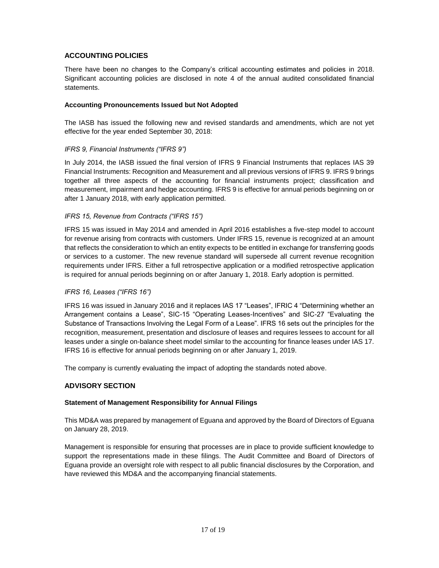# **ACCOUNTING POLICIES**

There have been no changes to the Company's critical accounting estimates and policies in 2018. Significant accounting policies are disclosed in note 4 of the annual audited consolidated financial statements.

### **Accounting Pronouncements Issued but Not Adopted**

The IASB has issued the following new and revised standards and amendments, which are not yet effective for the year ended September 30, 2018:

### *IFRS 9, Financial Instruments ("IFRS 9")*

In July 2014, the IASB issued the final version of IFRS 9 Financial Instruments that replaces IAS 39 Financial Instruments: Recognition and Measurement and all previous versions of IFRS 9. IFRS 9 brings together all three aspects of the accounting for financial instruments project; classification and measurement, impairment and hedge accounting. IFRS 9 is effective for annual periods beginning on or after 1 January 2018, with early application permitted.

### *IFRS 15, Revenue from Contracts ("IFRS 15")*

IFRS 15 was issued in May 2014 and amended in April 2016 establishes a five-step model to account for revenue arising from contracts with customers. Under IFRS 15, revenue is recognized at an amount that reflects the consideration to which an entity expects to be entitled in exchange for transferring goods or services to a customer. The new revenue standard will supersede all current revenue recognition requirements under IFRS. Either a full retrospective application or a modified retrospective application is required for annual periods beginning on or after January 1, 2018. Early adoption is permitted.

### *IFRS 16, Leases ("IFRS 16")*

IFRS 16 was issued in January 2016 and it replaces IAS 17 "Leases", IFRIC 4 "Determining whether an Arrangement contains a Lease", SIC-15 "Operating Leases-Incentives" and SIC-27 "Evaluating the Substance of Transactions Involving the Legal Form of a Lease". IFRS 16 sets out the principles for the recognition, measurement, presentation and disclosure of leases and requires lessees to account for all leases under a single on-balance sheet model similar to the accounting for finance leases under IAS 17. IFRS 16 is effective for annual periods beginning on or after January 1, 2019.

The company is currently evaluating the impact of adopting the standards noted above.

### **ADVISORY SECTION**

### **Statement of Management Responsibility for Annual Filings**

This MD&A was prepared by management of Eguana and approved by the Board of Directors of Eguana on January 28, 2019.

Management is responsible for ensuring that processes are in place to provide sufficient knowledge to support the representations made in these filings. The Audit Committee and Board of Directors of Eguana provide an oversight role with respect to all public financial disclosures by the Corporation, and have reviewed this MD&A and the accompanying financial statements.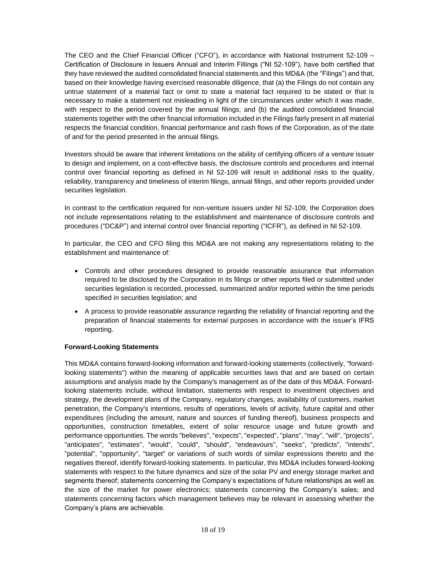The CEO and the Chief Financial Officer ("CFO"), in accordance with National Instrument 52-109 – Certification of Disclosure in Issuers Annual and Interim Fillings ("NI 52-109"), have both certified that they have reviewed the audited consolidated financial statements and this MD&A (the "Filings") and that, based on their knowledge having exercised reasonable diligence, that (a) the Filings do not contain any untrue statement of a material fact or omit to state a material fact required to be stated or that is necessary to make a statement not misleading in light of the circumstances under which it was made, with respect to the period covered by the annual filings; and (b) the audited consolidated financial statements together with the other financial information included in the Filings fairly present in all material respects the financial condition, financial performance and cash flows of the Corporation, as of the date of and for the period presented in the annual filings.

Investors should be aware that inherent limitations on the ability of certifying officers of a venture issuer to design and implement, on a cost-effective basis, the disclosure controls and procedures and internal control over financial reporting as defined in NI 52-109 will result in additional risks to the quality, reliability, transparency and timeliness of interim filings, annual filings, and other reports provided under securities legislation.

In contrast to the certification required for non-venture issuers under NI 52-109, the Corporation does not include representations relating to the establishment and maintenance of disclosure controls and procedures ("DC&P") and internal control over financial reporting ("ICFR"), as defined in NI 52-109.

In particular, the CEO and CFO filing this MD&A are not making any representations relating to the establishment and maintenance of:

- Controls and other procedures designed to provide reasonable assurance that information required to be disclosed by the Corporation in its filings or other reports filed or submitted under securities legislation is recorded, processed, summarized and/or reported within the time periods specified in securities legislation; and
- A process to provide reasonable assurance regarding the reliability of financial reporting and the preparation of financial statements for external purposes in accordance with the issuer's IFRS reporting.

# **Forward-Looking Statements**

This MD&A contains forward-looking information and forward-looking statements (collectively, "forwardlooking statements") within the meaning of applicable securities laws that and are based on certain assumptions and analysis made by the Company's management as of the date of this MD&A. Forwardlooking statements include, without limitation, statements with respect to investment objectives and strategy, the development plans of the Company, regulatory changes, availability of customers, market penetration, the Company's intentions, results of operations, levels of activity, future capital and other expenditures (including the amount, nature and sources of funding thereof), business prospects and opportunities, construction timetables, extent of solar resource usage and future growth and performance opportunities. The words "believes", "expects", "expected", "plans", "may", "will", "projects", "anticipates", "estimates", "would", "could", "should", "endeavours", "seeks", "predicts", "intends", "potential", "opportunity", "target" or variations of such words of similar expressions thereto and the negatives thereof, identify forward-looking statements. In particular, this MD&A includes forward-looking statements with respect to the future dynamics and size of the solar PV and energy storage market and segments thereof; statements concerning the Company's expectations of future relationships as well as the size of the market for power electronics; statements concerning the Company's sales; and statements concerning factors which management believes may be relevant in assessing whether the Company's plans are achievable.